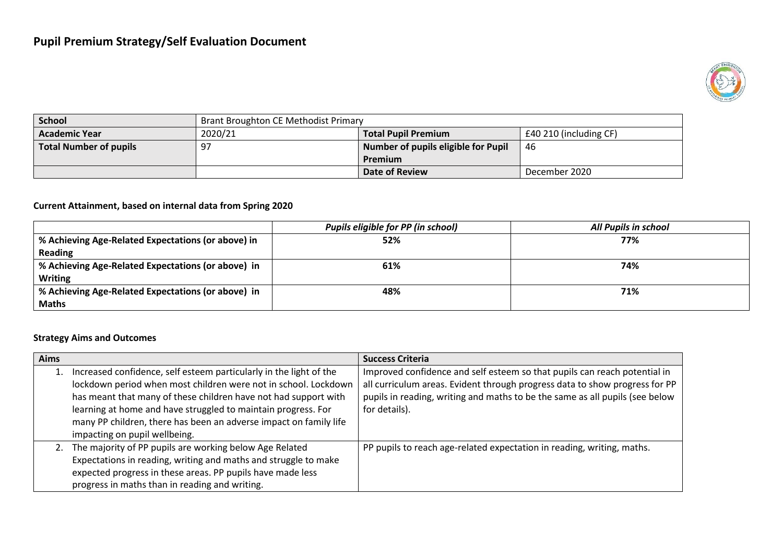

| <b>School</b>                 | Brant Broughton CE Methodist Primary                            |                                     |               |
|-------------------------------|-----------------------------------------------------------------|-------------------------------------|---------------|
| <b>Academic Year</b>          | 2020/21<br>£40 210 (including CF)<br><b>Total Pupil Premium</b> |                                     |               |
| <b>Total Number of pupils</b> | -97                                                             | Number of pupils eligible for Pupil | 46            |
|                               |                                                                 | Premium                             |               |
|                               |                                                                 | <b>Date of Review</b>               | December 2020 |

#### **Current Attainment, based on internal data from Spring 2020**

|                                                    | Pupils eligible for PP (in school) | <b>All Pupils in school</b> |
|----------------------------------------------------|------------------------------------|-----------------------------|
| % Achieving Age-Related Expectations (or above) in | 52%                                | 77%                         |
| <b>Reading</b>                                     |                                    |                             |
| % Achieving Age-Related Expectations (or above) in | 61%                                | 74%                         |
| <b>Writing</b>                                     |                                    |                             |
| % Achieving Age-Related Expectations (or above) in | 48%                                | 71%                         |
| <b>Maths</b>                                       |                                    |                             |

### **Strategy Aims and Outcomes**

| <b>Aims</b> |                                                                                                                                                                                                                                                                                                                                                   | <b>Success Criteria</b>                                                                                                                                                                                                                                   |
|-------------|---------------------------------------------------------------------------------------------------------------------------------------------------------------------------------------------------------------------------------------------------------------------------------------------------------------------------------------------------|-----------------------------------------------------------------------------------------------------------------------------------------------------------------------------------------------------------------------------------------------------------|
|             | 1. Increased confidence, self esteem particularly in the light of the<br>lockdown period when most children were not in school. Lockdown<br>has meant that many of these children have not had support with<br>learning at home and have struggled to maintain progress. For<br>many PP children, there has been an adverse impact on family life | Improved confidence and self esteem so that pupils can reach potential in<br>all curriculum areas. Evident through progress data to show progress for PP<br>pupils in reading, writing and maths to be the same as all pupils (see below<br>for details). |
|             | impacting on pupil wellbeing.                                                                                                                                                                                                                                                                                                                     |                                                                                                                                                                                                                                                           |
|             | 2. The majority of PP pupils are working below Age Related<br>Expectations in reading, writing and maths and struggle to make<br>expected progress in these areas. PP pupils have made less<br>progress in maths than in reading and writing.                                                                                                     | PP pupils to reach age-related expectation in reading, writing, maths.                                                                                                                                                                                    |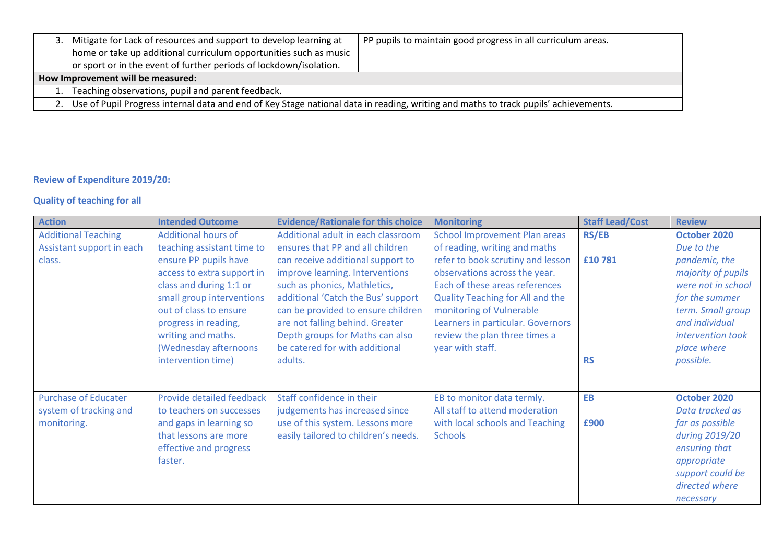| 3. | Mitigate for Lack of resources and support to develop learning at<br>home or take up additional curriculum opportunities such as music | PP pupils to maintain good progress in all curriculum areas. |  |  |  |
|----|----------------------------------------------------------------------------------------------------------------------------------------|--------------------------------------------------------------|--|--|--|
|    | or sport or in the event of further periods of lockdown/isolation.                                                                     |                                                              |  |  |  |
|    | How Improvement will be measured:                                                                                                      |                                                              |  |  |  |
|    | Teaching observations, pupil and parent feedback.                                                                                      |                                                              |  |  |  |
|    | 2. Use of Pupil Progress internal data and end of Key Stage national data in reading, writing and maths to track pupils' achievements. |                                                              |  |  |  |

## **Review of Expenditure 2019/20:**

# **Quality of teaching for all**

| <b>Action</b>               | <b>Intended Outcome</b>    | <b>Evidence/Rationale for this choice</b> | <b>Monitoring</b>                    | <b>Staff Lead/Cost</b> | <b>Review</b>      |
|-----------------------------|----------------------------|-------------------------------------------|--------------------------------------|------------------------|--------------------|
| <b>Additional Teaching</b>  | <b>Additional hours of</b> | Additional adult in each classroom        | <b>School Improvement Plan areas</b> | <b>RS/EB</b>           | October 2020       |
| Assistant support in each   | teaching assistant time to | ensures that PP and all children          | of reading, writing and maths        |                        | Due to the         |
| class.                      | ensure PP pupils have      | can receive additional support to         | refer to book scrutiny and lesson    | £10781                 | pandemic, the      |
|                             | access to extra support in | improve learning. Interventions           | observations across the year.        |                        | majority of pupils |
|                             | class and during 1:1 or    | such as phonics, Mathletics,              | Each of these areas references       |                        | were not in school |
|                             | small group interventions  | additional 'Catch the Bus' support        | Quality Teaching for All and the     |                        | for the summer     |
|                             | out of class to ensure     | can be provided to ensure children        | monitoring of Vulnerable             |                        | term. Small group  |
|                             | progress in reading,       | are not falling behind. Greater           | Learners in particular. Governors    |                        | and individual     |
|                             | writing and maths.         | Depth groups for Maths can also           | review the plan three times a        |                        | intervention took  |
|                             | (Wednesday afternoons      | be catered for with additional            | year with staff.                     |                        | place where        |
|                             | intervention time)         | adults.                                   |                                      | <b>RS</b>              | possible.          |
|                             |                            |                                           |                                      |                        |                    |
|                             |                            |                                           |                                      |                        |                    |
| <b>Purchase of Educater</b> | Provide detailed feedback  | Staff confidence in their                 | EB to monitor data termly.           | EB                     | October 2020       |
| system of tracking and      | to teachers on successes   | judgements has increased since            | All staff to attend moderation       |                        | Data tracked as    |
| monitoring.                 | and gaps in learning so    | use of this system. Lessons more          | with local schools and Teaching      | £900                   | far as possible    |
|                             | that lessons are more      | easily tailored to children's needs.      | <b>Schools</b>                       |                        | during 2019/20     |
|                             | effective and progress     |                                           |                                      |                        | ensuring that      |
|                             | faster.                    |                                           |                                      |                        | appropriate        |
|                             |                            |                                           |                                      |                        | support could be   |
|                             |                            |                                           |                                      |                        | directed where     |
|                             |                            |                                           |                                      |                        | necessary          |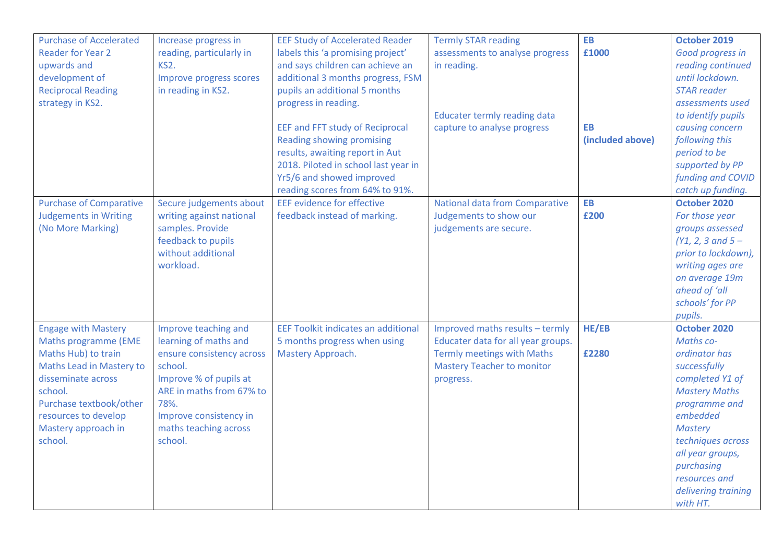| <b>Purchase of Accelerated</b> | Increase progress in      | <b>EEF Study of Accelerated Reader</b>     | <b>Termly STAR reading</b>         | <b>EB</b>        | October 2019                 |
|--------------------------------|---------------------------|--------------------------------------------|------------------------------------|------------------|------------------------------|
| <b>Reader for Year 2</b>       | reading, particularly in  | labels this 'a promising project'          | assessments to analyse progress    | £1000            | Good progress in             |
| upwards and                    | KS <sub>2</sub> .         | and says children can achieve an           | in reading.                        |                  | reading continued            |
| development of                 | Improve progress scores   | additional 3 months progress, FSM          |                                    |                  | until lockdown.              |
| <b>Reciprocal Reading</b>      | in reading in KS2.        | pupils an additional 5 months              |                                    |                  | <b>STAR</b> reader           |
| strategy in KS2.               |                           | progress in reading.                       |                                    |                  | assessments used             |
|                                |                           |                                            | Educater termly reading data       |                  | to identify pupils           |
|                                |                           | <b>EEF and FFT study of Reciprocal</b>     | capture to analyse progress        | <b>EB</b>        | causing concern              |
|                                |                           | Reading showing promising                  |                                    | (included above) | following this               |
|                                |                           | results, awaiting report in Aut            |                                    |                  | period to be                 |
|                                |                           | 2018. Piloted in school last year in       |                                    |                  | supported by PP              |
|                                |                           | Yr5/6 and showed improved                  |                                    |                  | funding and COVID            |
|                                |                           | reading scores from 64% to 91%.            |                                    |                  | catch up funding.            |
| <b>Purchase of Comparative</b> | Secure judgements about   | <b>EEF</b> evidence for effective          | National data from Comparative     | <b>EB</b>        | October 2020                 |
| <b>Judgements in Writing</b>   | writing against national  | feedback instead of marking.               | Judgements to show our             | £200             | For those year               |
| (No More Marking)              | samples. Provide          |                                            | judgements are secure.             |                  | groups assessed              |
|                                | feedback to pupils        |                                            |                                    |                  | $(Y1, 2, 3 \text{ and } 5 -$ |
|                                | without additional        |                                            |                                    |                  | prior to lockdown),          |
|                                | workload.                 |                                            |                                    |                  | writing ages are             |
|                                |                           |                                            |                                    |                  | on average 19m               |
|                                |                           |                                            |                                    |                  | ahead of 'all                |
|                                |                           |                                            |                                    |                  | schools' for PP              |
|                                |                           |                                            |                                    |                  | pupils.                      |
| <b>Engage with Mastery</b>     | Improve teaching and      | <b>EEF Toolkit indicates an additional</b> | Improved maths results - termly    | HE/EB            | October 2020                 |
|                                |                           |                                            |                                    |                  | Maths co-                    |
| <b>Maths programme (EME</b>    | learning of maths and     | 5 months progress when using               | Educater data for all year groups. |                  | ordinator has                |
| Maths Hub) to train            | ensure consistency across | Mastery Approach.                          | <b>Termly meetings with Maths</b>  | £2280            |                              |
| Maths Lead in Mastery to       | school.                   |                                            | <b>Mastery Teacher to monitor</b>  |                  | successfully                 |
| disseminate across             | Improve % of pupils at    |                                            | progress.                          |                  | completed Y1 of              |
| school.                        | ARE in maths from 67% to  |                                            |                                    |                  | <b>Mastery Maths</b>         |
| Purchase textbook/other        | 78%.                      |                                            |                                    |                  | programme and                |
| resources to develop           | Improve consistency in    |                                            |                                    |                  | embedded                     |
| Mastery approach in            | maths teaching across     |                                            |                                    |                  | <b>Mastery</b>               |
| school.                        | school.                   |                                            |                                    |                  | techniques across            |
|                                |                           |                                            |                                    |                  | all year groups,             |
|                                |                           |                                            |                                    |                  | purchasing                   |
|                                |                           |                                            |                                    |                  | resources and                |
|                                |                           |                                            |                                    |                  | delivering training          |
|                                |                           |                                            |                                    |                  | with HT.                     |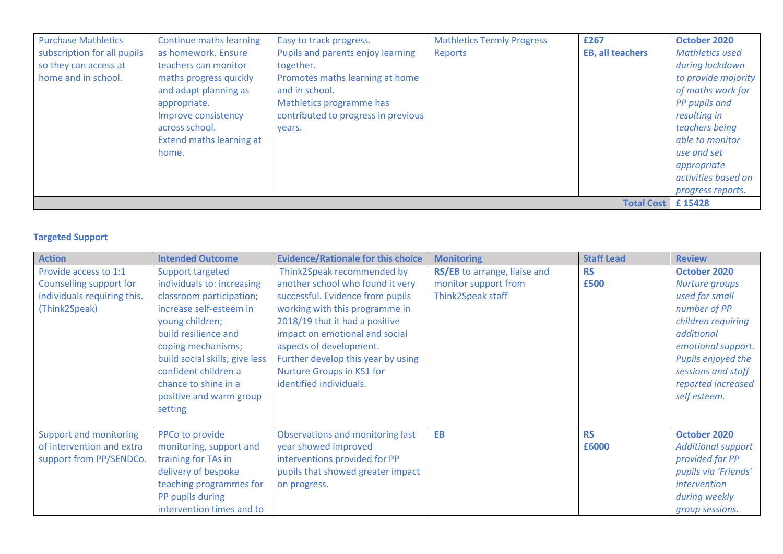| <b>Purchase Mathletics</b>  | Continue maths learning  | Easy to track progress.             | <b>Mathletics Termly Progress</b> | £267                    | October 2020           |
|-----------------------------|--------------------------|-------------------------------------|-----------------------------------|-------------------------|------------------------|
| subscription for all pupils | as homework. Ensure      | Pupils and parents enjoy learning   | Reports                           | <b>EB, all teachers</b> | <b>Mathletics used</b> |
| so they can access at       | teachers can monitor     | together.                           |                                   |                         | during lockdown        |
| home and in school.         | maths progress quickly   | Promotes maths learning at home     |                                   |                         | to provide majority    |
|                             | and adapt planning as    | and in school.                      |                                   |                         | of maths work for      |
|                             | appropriate.             | Mathletics programme has            |                                   |                         | PP pupils and          |
|                             | Improve consistency      | contributed to progress in previous |                                   |                         | resulting in           |
|                             | across school.           | years.                              |                                   |                         | teachers being         |
|                             | Extend maths learning at |                                     |                                   |                         | able to monitor        |
|                             | home.                    |                                     |                                   |                         | use and set            |
|                             |                          |                                     |                                   |                         | appropriate            |
|                             |                          |                                     |                                   |                         | activities based on    |
|                             |                          |                                     |                                   |                         | progress reports.      |
| <b>Total Cost</b>           |                          |                                     |                                   |                         | £15428                 |

## **Targeted Support**

| <b>Action</b>                                                                                    | <b>Intended Outcome</b>                                                                                                                                                                                                                                                                        | <b>Evidence/Rationale for this choice</b>                                                                                                                                                                                                                                                                                         | <b>Monitoring</b>                                                         | <b>Staff Lead</b>  | <b>Review</b>                                                                                                                                                                                                |
|--------------------------------------------------------------------------------------------------|------------------------------------------------------------------------------------------------------------------------------------------------------------------------------------------------------------------------------------------------------------------------------------------------|-----------------------------------------------------------------------------------------------------------------------------------------------------------------------------------------------------------------------------------------------------------------------------------------------------------------------------------|---------------------------------------------------------------------------|--------------------|--------------------------------------------------------------------------------------------------------------------------------------------------------------------------------------------------------------|
| Provide access to 1:1<br>Counselling support for<br>individuals requiring this.<br>(Think2Speak) | Support targeted<br>individuals to: increasing<br>classroom participation;<br>increase self-esteem in<br>young children;<br>build resilience and<br>coping mechanisms;<br>build social skills; give less<br>confident children a<br>chance to shine in a<br>positive and warm group<br>setting | Think2Speak recommended by<br>another school who found it very<br>successful. Evidence from pupils<br>working with this programme in<br>2018/19 that it had a positive<br>impact on emotional and social<br>aspects of development.<br>Further develop this year by using<br>Nurture Groups in KS1 for<br>identified individuals. | RS/EB to arrange, liaise and<br>monitor support from<br>Think2Speak staff | <b>RS</b><br>£500  | October 2020<br>Nurture groups<br>used for small<br>number of PP<br>children requiring<br>additional<br>emotional support.<br>Pupils enjoyed the<br>sessions and staff<br>reported increased<br>self esteem. |
| <b>Support and monitoring</b><br>of intervention and extra<br>support from PP/SENDCo.            | PPCo to provide<br>monitoring, support and<br>training for TAs in<br>delivery of bespoke<br>teaching programmes for<br>PP pupils during<br>intervention times and to                                                                                                                           | Observations and monitoring last<br>year showed improved<br>interventions provided for PP<br>pupils that showed greater impact<br>on progress.                                                                                                                                                                                    | <b>EB</b>                                                                 | <b>RS</b><br>£6000 | October 2020<br><b>Additional support</b><br>provided for PP<br>pupils via 'Friends'<br><i>intervention</i><br>during weekly<br>group sessions.                                                              |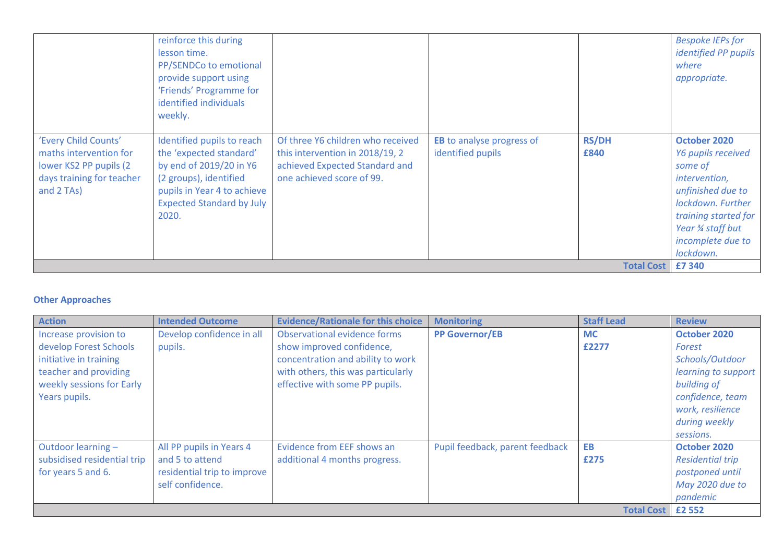|                                                                                                                      | reinforce this during<br>lesson time.<br>PP/SENDCo to emotional<br>provide support using<br>'Friends' Programme for<br>identified individuals<br>weekly.                               |                                                                                                                                     |                                                       |                      | <b>Bespoke IEPs for</b><br><i>identified PP pupils</i><br>where<br>appropriate.                                                                                                          |
|----------------------------------------------------------------------------------------------------------------------|----------------------------------------------------------------------------------------------------------------------------------------------------------------------------------------|-------------------------------------------------------------------------------------------------------------------------------------|-------------------------------------------------------|----------------------|------------------------------------------------------------------------------------------------------------------------------------------------------------------------------------------|
| 'Every Child Counts'<br>maths intervention for<br>lower KS2 PP pupils (2)<br>days training for teacher<br>and 2 TAs) | Identified pupils to reach<br>the 'expected standard'<br>by end of 2019/20 in Y6<br>(2 groups), identified<br>pupils in Year 4 to achieve<br><b>Expected Standard by July</b><br>2020. | Of three Y6 children who received<br>this intervention in 2018/19, 2<br>achieved Expected Standard and<br>one achieved score of 99. | <b>EB</b> to analyse progress of<br>identified pupils | <b>RS/DH</b><br>£840 | October 2020<br>Y6 pupils received<br>some of<br>intervention,<br>unfinished due to<br>lockdown. Further<br>training started for<br>Year 3⁄4 staff but<br>incomplete due to<br>lockdown. |
|                                                                                                                      |                                                                                                                                                                                        |                                                                                                                                     |                                                       | <b>Total Cost</b>    | £7 340                                                                                                                                                                                   |

### **Other Approaches**

| <b>Action</b>               | <b>Intended Outcome</b>     | <b>Evidence/Rationale for this choice</b> | <b>Monitoring</b>               | <b>Staff Lead</b> | <b>Review</b>           |
|-----------------------------|-----------------------------|-------------------------------------------|---------------------------------|-------------------|-------------------------|
| Increase provision to       | Develop confidence in all   | Observational evidence forms              | <b>PP Governor/EB</b>           | <b>MC</b>         | October 2020            |
| develop Forest Schools      | pupils.                     | show improved confidence,                 |                                 | £2277             | Forest                  |
| initiative in training      |                             | concentration and ability to work         |                                 |                   | Schools/Outdoor         |
| teacher and providing       |                             | with others, this was particularly        |                                 |                   | learning to support     |
| weekly sessions for Early   |                             | effective with some PP pupils.            |                                 |                   | building of             |
| Years pupils.               |                             |                                           |                                 |                   | confidence, team        |
|                             |                             |                                           |                                 |                   | work, resilience        |
|                             |                             |                                           |                                 |                   | during weekly           |
|                             |                             |                                           |                                 |                   | sessions.               |
| Outdoor learning -          | All PP pupils in Years 4    | Evidence from EEF shows an                | Pupil feedback, parent feedback | <b>EB</b>         | October 2020            |
| subsidised residential trip | and 5 to attend             | additional 4 months progress.             |                                 | £275              | <b>Residential trip</b> |
| for years 5 and 6.          | residential trip to improve |                                           |                                 |                   | postponed until         |
|                             | self confidence.            |                                           |                                 |                   | May 2020 due to         |
|                             |                             |                                           |                                 |                   | pandemic                |
|                             |                             |                                           |                                 | <b>Total Cost</b> | £2 552                  |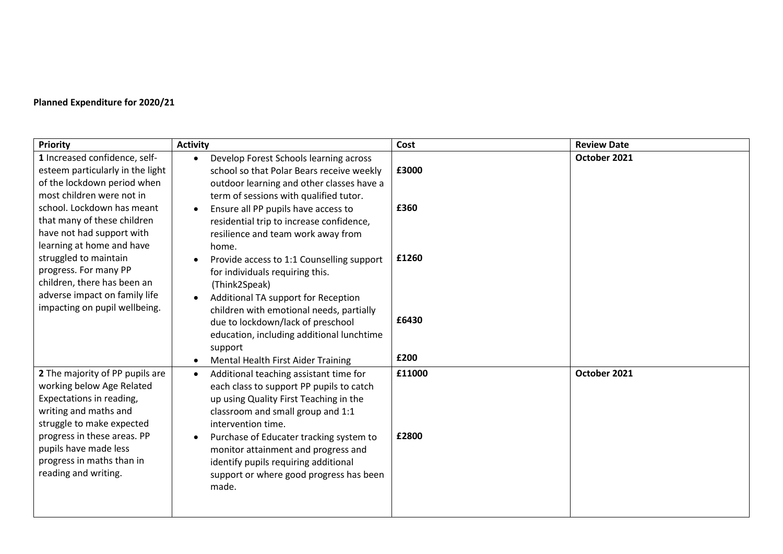## **Planned Expenditure for 2020/21**

| <b>Priority</b>                                                                                                                                                                                                                                             | <b>Activity</b>                                                                                                                                                                                                                                                                                                                                                                    | Cost            | <b>Review Date</b> |
|-------------------------------------------------------------------------------------------------------------------------------------------------------------------------------------------------------------------------------------------------------------|------------------------------------------------------------------------------------------------------------------------------------------------------------------------------------------------------------------------------------------------------------------------------------------------------------------------------------------------------------------------------------|-----------------|--------------------|
| 1 Increased confidence, self-<br>esteem particularly in the light<br>of the lockdown period when<br>most children were not in<br>school. Lockdown has meant<br>that many of these children                                                                  | Develop Forest Schools learning across<br>$\bullet$<br>school so that Polar Bears receive weekly<br>outdoor learning and other classes have a<br>term of sessions with qualified tutor.<br>Ensure all PP pupils have access to<br>residential trip to increase confidence,                                                                                                         | £3000<br>£360   | October 2021       |
| have not had support with<br>learning at home and have<br>struggled to maintain<br>progress. For many PP<br>children, there has been an<br>adverse impact on family life                                                                                    | resilience and team work away from<br>home.<br>Provide access to 1:1 Counselling support<br>for individuals requiring this.<br>(Think2Speak)                                                                                                                                                                                                                                       | £1260           |                    |
| impacting on pupil wellbeing.                                                                                                                                                                                                                               | Additional TA support for Reception<br>children with emotional needs, partially<br>due to lockdown/lack of preschool<br>education, including additional lunchtime<br>support<br>Mental Health First Aider Training                                                                                                                                                                 | £6430<br>£200   |                    |
| 2 The majority of PP pupils are<br>working below Age Related<br>Expectations in reading,<br>writing and maths and<br>struggle to make expected<br>progress in these areas. PP<br>pupils have made less<br>progress in maths than in<br>reading and writing. | Additional teaching assistant time for<br>$\bullet$<br>each class to support PP pupils to catch<br>up using Quality First Teaching in the<br>classroom and small group and 1:1<br>intervention time.<br>Purchase of Educater tracking system to<br>monitor attainment and progress and<br>identify pupils requiring additional<br>support or where good progress has been<br>made. | £11000<br>£2800 | October 2021       |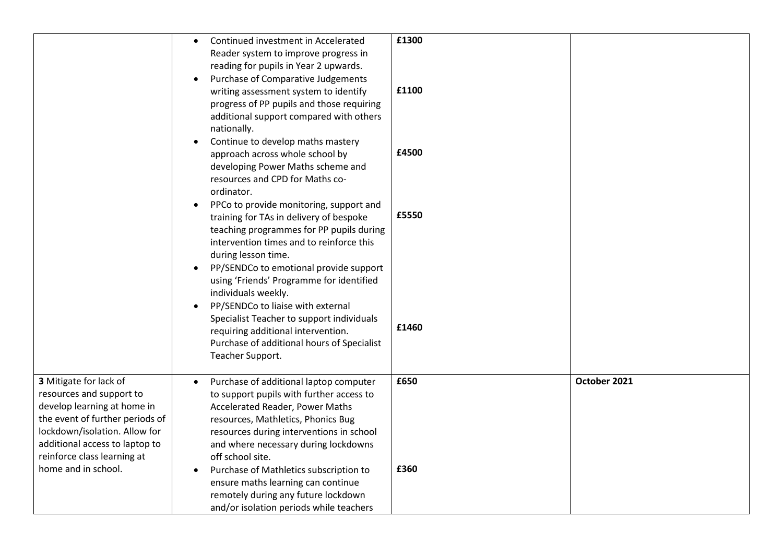|                                                                                                                                                                                                                                               | Continued investment in Accelerated<br>$\bullet$<br>Reader system to improve progress in<br>reading for pupils in Year 2 upwards.<br>Purchase of Comparative Judgements<br>writing assessment system to identify<br>progress of PP pupils and those requiring<br>additional support compared with others<br>nationally.<br>Continue to develop maths mastery<br>approach across whole school by<br>developing Power Maths scheme and<br>resources and CPD for Maths co-<br>ordinator.<br>PPCo to provide monitoring, support and<br>training for TAs in delivery of bespoke<br>teaching programmes for PP pupils during<br>intervention times and to reinforce this<br>during lesson time.<br>PP/SENDCo to emotional provide support<br>$\bullet$<br>using 'Friends' Programme for identified<br>individuals weekly.<br>PP/SENDCo to liaise with external<br>Specialist Teacher to support individuals<br>requiring additional intervention.<br>Purchase of additional hours of Specialist<br>Teacher Support. | £1300<br>£1100<br>£4500<br>£5550<br>£1460 |              |
|-----------------------------------------------------------------------------------------------------------------------------------------------------------------------------------------------------------------------------------------------|----------------------------------------------------------------------------------------------------------------------------------------------------------------------------------------------------------------------------------------------------------------------------------------------------------------------------------------------------------------------------------------------------------------------------------------------------------------------------------------------------------------------------------------------------------------------------------------------------------------------------------------------------------------------------------------------------------------------------------------------------------------------------------------------------------------------------------------------------------------------------------------------------------------------------------------------------------------------------------------------------------------|-------------------------------------------|--------------|
| 3 Mitigate for lack of<br>resources and support to<br>develop learning at home in<br>the event of further periods of<br>lockdown/isolation. Allow for<br>additional access to laptop to<br>reinforce class learning at<br>home and in school. | Purchase of additional laptop computer<br>$\bullet$<br>to support pupils with further access to<br>Accelerated Reader, Power Maths<br>resources, Mathletics, Phonics Bug<br>resources during interventions in school<br>and where necessary during lockdowns<br>off school site.<br>Purchase of Mathletics subscription to<br>ensure maths learning can continue<br>remotely during any future lockdown<br>and/or isolation periods while teachers                                                                                                                                                                                                                                                                                                                                                                                                                                                                                                                                                             | £650<br>£360                              | October 2021 |